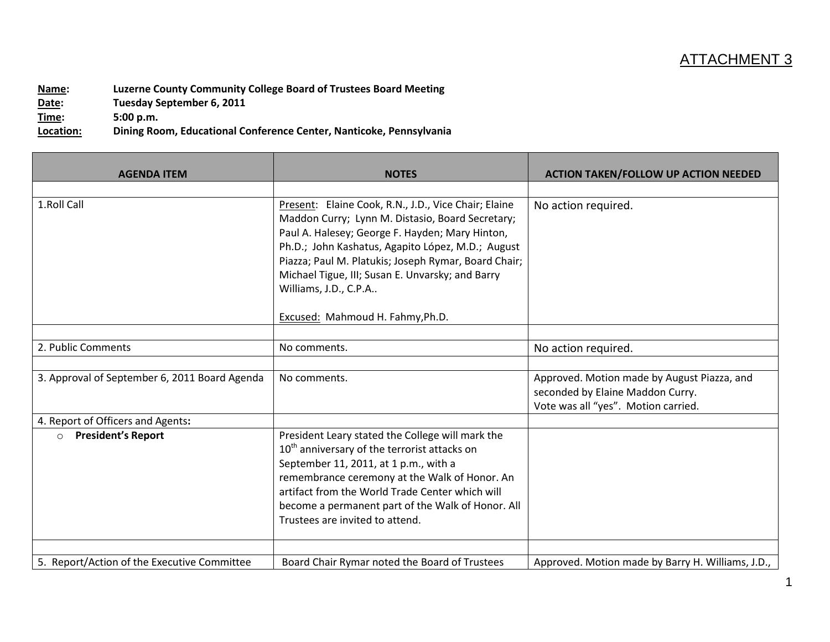## ATTACHMENT 3

**Name: Luzerne County Community College Board of Trustees Board Meeting Date: Tuesday September 6, 2011 Time: 5:00 p.m. Location: Dining Room, Educational Conference Center, Nanticoke, Pennsylvania**

| <b>AGENDA ITEM</b>                            | <b>NOTES</b>                                                                                                                                                                                                                                                                                                                                                                              | <b>ACTION TAKEN/FOLLOW UP ACTION NEEDED</b>                                                                            |
|-----------------------------------------------|-------------------------------------------------------------------------------------------------------------------------------------------------------------------------------------------------------------------------------------------------------------------------------------------------------------------------------------------------------------------------------------------|------------------------------------------------------------------------------------------------------------------------|
|                                               |                                                                                                                                                                                                                                                                                                                                                                                           |                                                                                                                        |
| 1.Roll Call                                   | Present: Elaine Cook, R.N., J.D., Vice Chair; Elaine<br>Maddon Curry; Lynn M. Distasio, Board Secretary;<br>Paul A. Halesey; George F. Hayden; Mary Hinton,<br>Ph.D.; John Kashatus, Agapito López, M.D.; August<br>Piazza; Paul M. Platukis; Joseph Rymar, Board Chair;<br>Michael Tigue, III; Susan E. Unvarsky; and Barry<br>Williams, J.D., C.P.A<br>Excused: Mahmoud H. Fahmy, Ph.D. | No action required.                                                                                                    |
|                                               |                                                                                                                                                                                                                                                                                                                                                                                           |                                                                                                                        |
| 2. Public Comments                            | No comments.                                                                                                                                                                                                                                                                                                                                                                              | No action required.                                                                                                    |
|                                               |                                                                                                                                                                                                                                                                                                                                                                                           |                                                                                                                        |
| 3. Approval of September 6, 2011 Board Agenda | No comments.                                                                                                                                                                                                                                                                                                                                                                              | Approved. Motion made by August Piazza, and<br>seconded by Elaine Maddon Curry.<br>Vote was all "yes". Motion carried. |
| 4. Report of Officers and Agents:             |                                                                                                                                                                                                                                                                                                                                                                                           |                                                                                                                        |
| <b>President's Report</b><br>$\circ$          | President Leary stated the College will mark the<br>10 <sup>th</sup> anniversary of the terrorist attacks on<br>September 11, 2011, at 1 p.m., with a<br>remembrance ceremony at the Walk of Honor. An<br>artifact from the World Trade Center which will<br>become a permanent part of the Walk of Honor. All<br>Trustees are invited to attend.                                         |                                                                                                                        |
| 5. Report/Action of the Executive Committee   | Board Chair Rymar noted the Board of Trustees                                                                                                                                                                                                                                                                                                                                             | Approved. Motion made by Barry H. Williams, J.D.,                                                                      |